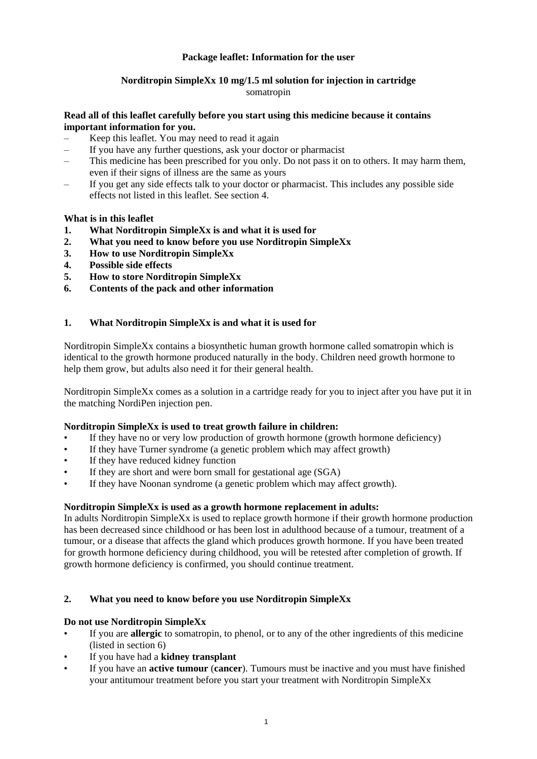# **Package leaflet: Information for the user**

# **Norditropin SimpleXx 10 mg/1.5 ml solution for injection in cartridge**

## somatropin

## **Read all of this leaflet carefully before you start using this medicine because it contains important information for you.**

- Keep this leaflet. You may need to read it again
- If you have any further questions, ask your doctor or pharmacist
- This medicine has been prescribed for you only. Do not pass it on to others. It may harm them, even if their signs of illness are the same as yours
- If you get any side effects talk to your doctor or pharmacist. This includes any possible side effects not listed in this leaflet. See section 4.

# **What is in this leaflet**

- **1. What Norditropin SimpleXx is and what it is used for**
- **2. What you need to know before you use Norditropin SimpleXx**
- **3. How to use Norditropin SimpleXx**
- **4. Possible side effects**
- **5. How to store Norditropin SimpleXx**
- **6. Contents of the pack and other information**

# **1. What Norditropin SimpleXx is and what it is used for**

Norditropin SimpleXx contains a biosynthetic human growth hormone called somatropin which is identical to the growth hormone produced naturally in the body. Children need growth hormone to help them grow, but adults also need it for their general health.

Norditropin SimpleXx comes as a solution in a cartridge ready for you to inject after you have put it in the matching NordiPen injection pen.

### **Norditropin SimpleXx is used to treat growth failure in children:**

- If they have no or very low production of growth hormone (growth hormone deficiency)
- If they have Turner syndrome (a genetic problem which may affect growth)
- If they have reduced kidney function
- If they are short and were born small for gestational age (SGA)
- If they have Noonan syndrome (a genetic problem which may affect growth).

### **Norditropin SimpleXx is used as a growth hormone replacement in adults:**

In adults Norditropin SimpleXx is used to replace growth hormone if their growth hormone production has been decreased since childhood or has been lost in adulthood because of a tumour, treatment of a tumour, or a disease that affects the gland which produces growth hormone. If you have been treated for growth hormone deficiency during childhood, you will be retested after completion of growth. If growth hormone deficiency is confirmed, you should continue treatment.

### **2. What you need to know before you use Norditropin SimpleXx**

# **Do not use Norditropin SimpleXx**

- If you are **allergic** to somatropin, to phenol, or to any of the other ingredients of this medicine (listed in section 6)
- If you have had a **kidney transplant**
- If you have an **active tumour** (**cancer**). Tumours must be inactive and you must have finished your antitumour treatment before you start your treatment with Norditropin SimpleXx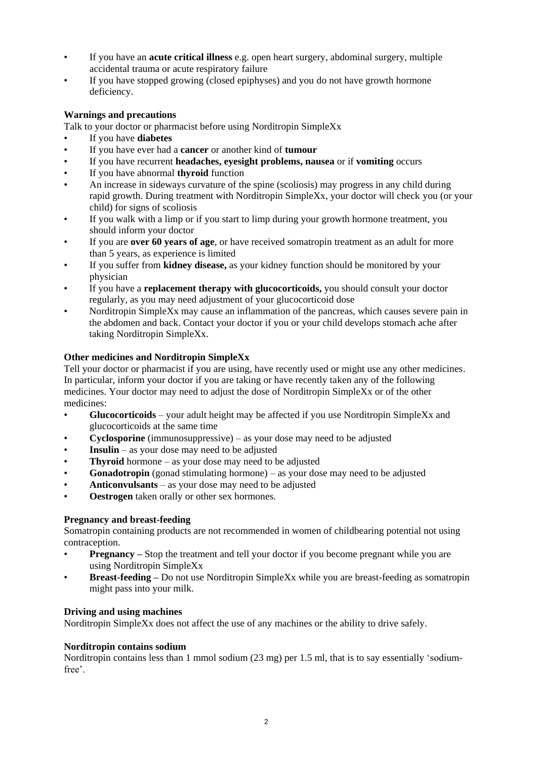- If you have an **acute critical illness** e.g. open heart surgery, abdominal surgery, multiple accidental trauma or acute respiratory failure
- If you have stopped growing (closed epiphyses) and you do not have growth hormone deficiency.

# **Warnings and precautions**

Talk to your doctor or pharmacist before using Norditropin SimpleXx

- If you have **diabetes**
- If you have ever had a **cancer** or another kind of **tumour**
- If you have recurrent **headaches, eyesight problems, nausea** or if **vomiting** occurs
- If you have abnormal **thyroid** function
- An increase in sideways curvature of the spine (scoliosis) may progress in any child during rapid growth. During treatment with Norditropin SimpleXx, your doctor will check you (or your child) for signs of scoliosis
- If you walk with a limp or if you start to limp during your growth hormone treatment, you should inform your doctor
- If you are **over 60 years of age**, or have received somatropin treatment as an adult for more than 5 years, as experience is limited
- If you suffer from **kidney disease,** as your kidney function should be monitored by your physician
- If you have a **replacement therapy with glucocorticoids,** you should consult your doctor regularly, as you may need adjustment of your glucocorticoid dose
- Norditropin SimpleXx may cause an inflammation of the pancreas, which causes severe pain in the abdomen and back. Contact your doctor if you or your child develops stomach ache after taking Norditropin SimpleXx.

# **Other medicines and Norditropin SimpleXx**

Tell your doctor or pharmacist if you are using, have recently used or might use any other medicines. In particular, inform your doctor if you are taking or have recently taken any of the following medicines. Your doctor may need to adjust the dose of Norditropin SimpleXx or of the other medicines:

- **Glucocorticoids** your adult height may be affected if you use Norditropin SimpleXx and glucocorticoids at the same time
- **Cyclosporine** (immunosuppressive) as your dose may need to be adjusted
- **Insulin** as your dose may need to be adjusted
- **Thyroid** hormone as your dose may need to be adjusted
- **Gonadotropin** (gonad stimulating hormone) as your dose may need to be adjusted
- **Anticonvulsants** as your dose may need to be adjusted
- **Oestrogen** taken orally or other sex hormones.

### **Pregnancy and breast-feeding**

Somatropin containing products are not recommended in women of childbearing potential not using contraception.

- **Pregnancy** Stop the treatment and tell your doctor if you become pregnant while you are using Norditropin SimpleXx
- **Breast-feeding –** Do not use Norditropin SimpleXx while you are breast-feeding as somatropin might pass into your milk.

### **Driving and using machines**

Norditropin SimpleXx does not affect the use of any machines or the ability to drive safely.

### **Norditropin contains sodium**

Norditropin contains less than 1 mmol sodium (23 mg) per 1.5 ml, that is to say essentially 'sodiumfree'.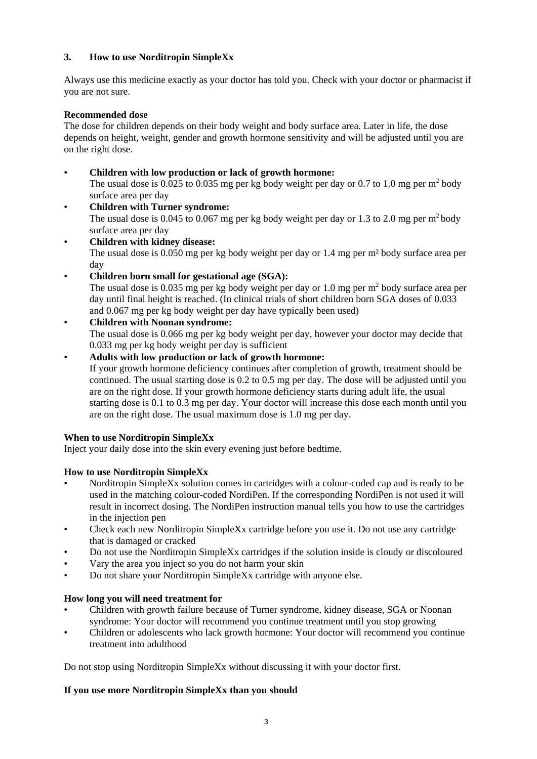# **3. How to use Norditropin SimpleXx**

Always use this medicine exactly as your doctor has told you. Check with your doctor or pharmacist if you are not sure.

# **Recommended dose**

The dose for children depends on their body weight and body surface area. Later in life, the dose depends on height, weight, gender and growth hormone sensitivity and will be adjusted until you are on the right dose.

- **Children with low production or lack of growth hormone:**  The usual dose is 0.025 to 0.035 mg per kg body weight per day or 0.7 to 1.0 mg per  $m^2$  body surface area per day
- **Children with Turner syndrome:**  The usual dose is 0.045 to 0.067 mg per kg body weight per day or 1.3 to 2.0 mg per  $m^2$  body surface area per day
- **Children with kidney disease:** The usual dose is 0.050 mg per kg body weight per day or 1.4 mg per m² body surface area per day
- **Children born small for gestational age (SGA):**

The usual dose is 0.035 mg per kg body weight per day or 1.0 mg per  $m<sup>2</sup>$  body surface area per day until final height is reached. (In clinical trials of short children born SGA doses of 0.033 and 0.067 mg per kg body weight per day have typically been used)

# • **Children with Noonan syndrome:**

The usual dose is 0.066 mg per kg body weight per day, however your doctor may decide that 0.033 mg per kg body weight per day is sufficient

- **Adults with low production or lack of growth hormone:** 
	- If your growth hormone deficiency continues after completion of growth, treatment should be continued. The usual starting dose is 0.2 to 0.5 mg per day. The dose will be adjusted until you are on the right dose. If your growth hormone deficiency starts during adult life, the usual starting dose is 0.1 to 0.3 mg per day. Your doctor will increase this dose each month until you are on the right dose. The usual maximum dose is 1.0 mg per day.

# **When to use Norditropin SimpleXx**

Inject your daily dose into the skin every evening just before bedtime.

# **How to use Norditropin SimpleXx**

- Norditropin SimpleXx solution comes in cartridges with a colour-coded cap and is ready to be used in the matching colour-coded NordiPen. If the corresponding NordiPen is not used it will result in incorrect dosing. The NordiPen instruction manual tells you how to use the cartridges in the injection pen
- Check each new Norditropin SimpleXx cartridge before you use it. Do not use any cartridge that is damaged or cracked
- Do not use the Norditropin SimpleXx cartridges if the solution inside is cloudy or discoloured
- Vary the area you inject so you do not harm your skin
- Do not share your Norditropin SimpleXx cartridge with anyone else.

# **How long you will need treatment for**

- Children with growth failure because of Turner syndrome, kidney disease, SGA or Noonan syndrome: Your doctor will recommend you continue treatment until you stop growing
- Children or adolescents who lack growth hormone: Your doctor will recommend you continue treatment into adulthood

Do not stop using Norditropin SimpleXx without discussing it with your doctor first.

# **If you use more Norditropin SimpleXx than you should**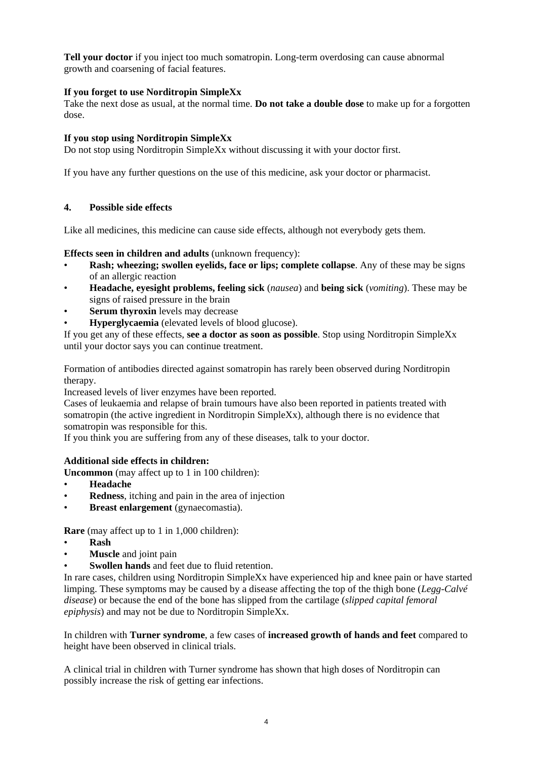**Tell your doctor** if you inject too much somatropin. Long-term overdosing can cause abnormal growth and coarsening of facial features.

# **If you forget to use Norditropin SimpleXx**

Take the next dose as usual, at the normal time. **Do not take a double dose** to make up for a forgotten dose.

# **If you stop using Norditropin SimpleXx**

Do not stop using Norditropin SimpleXx without discussing it with your doctor first.

If you have any further questions on the use of this medicine, ask your doctor or pharmacist.

# **4. Possible side effects**

Like all medicines, this medicine can cause side effects, although not everybody gets them.

# **Effects seen in children and adults** (unknown frequency):

- **Rash; wheezing; swollen eyelids, face or lips; complete collapse**. Any of these may be signs of an allergic reaction
- **Headache, eyesight problems, feeling sick** (*nausea*) and **being sick** (*vomiting*). These may be signs of raised pressure in the brain
- **Serum thyroxin** levels may decrease
- **Hyperglycaemia** (elevated levels of blood glucose).

If you get any of these effects, **see a doctor as soon as possible**. Stop using Norditropin SimpleXx until your doctor says you can continue treatment.

Formation of antibodies directed against somatropin has rarely been observed during Norditropin therapy.

Increased levels of liver enzymes have been reported.

Cases of leukaemia and relapse of brain tumours have also been reported in patients treated with somatropin (the active ingredient in Norditropin SimpleXx), although there is no evidence that somatropin was responsible for this.

If you think you are suffering from any of these diseases, talk to your doctor.

# **Additional side effects in children:**

**Uncommon** (may affect up to 1 in 100 children):

- **Headache**
- **Redness**, itching and pain in the area of injection
- **Breast enlargement** (gynaecomastia).

**Rare** (may affect up to 1 in 1,000 children):

- **Rash**
- **Muscle** and joint pain
- **Swollen hands** and feet due to fluid retention.

In rare cases, children using Norditropin SimpleXx have experienced hip and knee pain or have started limping. These symptoms may be caused by a disease affecting the top of the thigh bone (*Legg-Calvé disease*) or because the end of the bone has slipped from the cartilage (*slipped capital femoral epiphysis*) and may not be due to Norditropin SimpleXx.

In children with **Turner syndrome**, a few cases of **increased growth of hands and feet** compared to height have been observed in clinical trials.

A clinical trial in children with Turner syndrome has shown that high doses of Norditropin can possibly increase the risk of getting ear infections.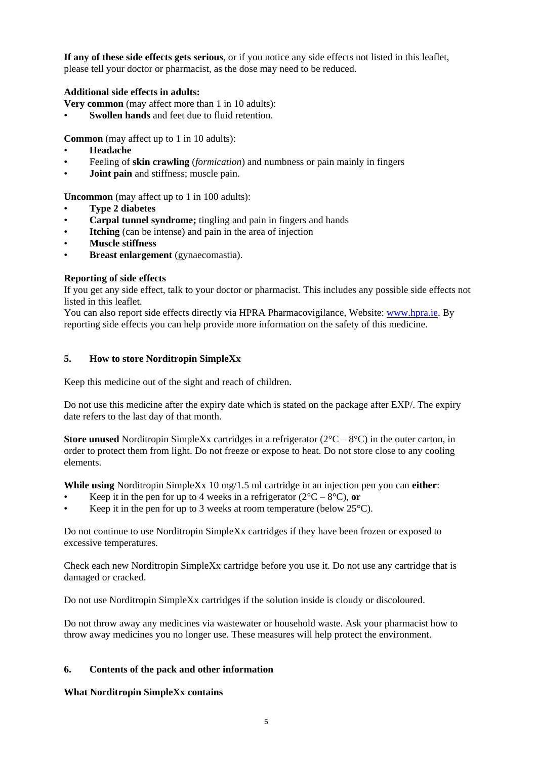**If any of these side effects gets serious**, or if you notice any side effects not listed in this leaflet, please tell your doctor or pharmacist, as the dose may need to be reduced.

# **Additional side effects in adults:**

**Very common** (may affect more than 1 in 10 adults):

**Swollen hands** and feet due to fluid retention.

**Common** (may affect up to 1 in 10 adults):

- **Headache**
- Feeling of **skin crawling** (*formication*) and numbness or pain mainly in fingers
- **Joint pain** and stiffness; muscle pain.

**Uncommon** (may affect up to 1 in 100 adults):

- **Type 2 diabetes**
- **Carpal tunnel syndrome;** tingling and pain in fingers and hands
- **Itching** (can be intense) and pain in the area of injection
- **Muscle stiffness**
- **Breast enlargement** (gynaecomastia).

# **Reporting of side effects**

If you get any side effect, talk to your doctor or pharmacist. This includes any possible side effects not listed in this leaflet.

You can also report side effects directly via HPRA Pharmacovigilance, Website[: www.hpra.ie.](http://www.hpra.ie/) By reporting side effects you can help provide more information on the safety of this medicine.

# **5. How to store Norditropin SimpleXx**

Keep this medicine out of the sight and reach of children.

Do not use this medicine after the expiry date which is stated on the package after EXP/. The expiry date refers to the last day of that month.

**Store unused** Norditropin SimpleXx cartridges in a refrigerator ( $2^{\circ}C - 8^{\circ}C$ ) in the outer carton, in order to protect them from light. Do not freeze or expose to heat. Do not store close to any cooling elements.

**While using** Norditropin SimpleXx 10 mg/1.5 ml cartridge in an injection pen you can **either**:

- Keep it in the pen for up to 4 weeks in a refrigerator  $(2^{\circ}C 8^{\circ}C)$ , or
- Keep it in the pen for up to 3 weeks at room temperature (below  $25^{\circ}$ C).

Do not continue to use Norditropin SimpleXx cartridges if they have been frozen or exposed to excessive temperatures.

Check each new Norditropin SimpleXx cartridge before you use it. Do not use any cartridge that is damaged or cracked.

Do not use Norditropin SimpleXx cartridges if the solution inside is cloudy or discoloured.

Do not throw away any medicines via wastewater or household waste. Ask your pharmacist how to throw away medicines you no longer use. These measures will help protect the environment.

# **6. Contents of the pack and other information**

### **What Norditropin SimpleXx contains**